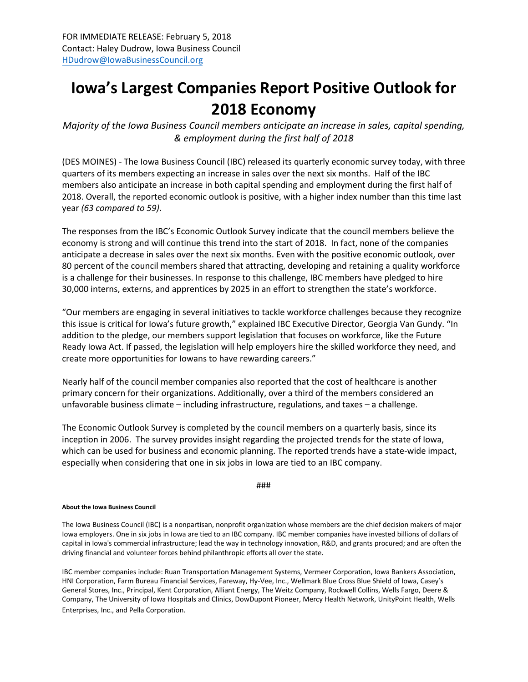## **Iowa's Largest Companies Report Positive Outlook for 2018 Economy**

*Majority of the Iowa Business Council members anticipate an increase in sales, capital spending, & employment during the first half of 2018*

(DES MOINES) - The Iowa Business Council (IBC) released its quarterly economic survey today, with three quarters of its members expecting an increase in sales over the next six months. Half of the IBC members also anticipate an increase in both capital spending and employment during the first half of 2018. Overall, the reported economic outlook is positive, with a higher index number than this time last year *(63 compared to 59)*.

The responses from the IBC's Economic Outlook Survey indicate that the council members believe the economy is strong and will continue this trend into the start of 2018. In fact, none of the companies anticipate a decrease in sales over the next six months. Even with the positive economic outlook, over 80 percent of the council members shared that attracting, developing and retaining a quality workforce is a challenge for their businesses. In response to this challenge, IBC members have pledged to hire 30,000 interns, externs, and apprentices by 2025 in an effort to strengthen the state's workforce.

"Our members are engaging in several initiatives to tackle workforce challenges because they recognize this issue is critical for Iowa's future growth," explained IBC Executive Director, Georgia Van Gundy. "In addition to the pledge, our members support legislation that focuses on workforce, like the Future Ready Iowa Act. If passed, the legislation will help employers hire the skilled workforce they need, and create more opportunities for Iowans to have rewarding careers."

Nearly half of the council member companies also reported that the cost of healthcare is another primary concern for their organizations. Additionally, over a third of the members considered an unfavorable business climate – including infrastructure, regulations, and taxes – a challenge.

The Economic Outlook Survey is completed by the council members on a quarterly basis, since its inception in 2006. The survey provides insight regarding the projected trends for the state of Iowa, which can be used for business and economic planning. The reported trends have a state-wide impact, especially when considering that one in six jobs in Iowa are tied to an IBC company.

###

## **About the Iowa Business Council**

The Iowa Business Council (IBC) is a nonpartisan, nonprofit organization whose members are the chief decision makers of major Iowa employers. One in six jobs in Iowa are tied to an IBC company. IBC member companies have invested billions of dollars of capital in Iowa's commercial infrastructure; lead the way in technology innovation, R&D, and grants procured; and are often the driving financial and volunteer forces behind philanthropic efforts all over the state.

IBC member companies include: Ruan Transportation Management Systems, Vermeer Corporation, Iowa Bankers Association, HNI Corporation, Farm Bureau Financial Services, Fareway, Hy-Vee, Inc., Wellmark Blue Cross Blue Shield of Iowa, Casey's General Stores, Inc., Principal, Kent Corporation, Alliant Energy, The Weitz Company, Rockwell Collins, Wells Fargo, Deere & Company, The University of Iowa Hospitals and Clinics, DowDupont Pioneer, Mercy Health Network, UnityPoint Health, Wells Enterprises, Inc., and Pella Corporation.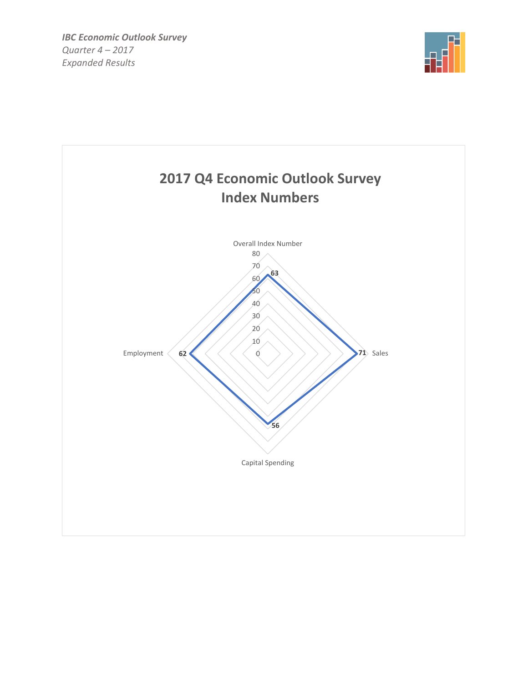

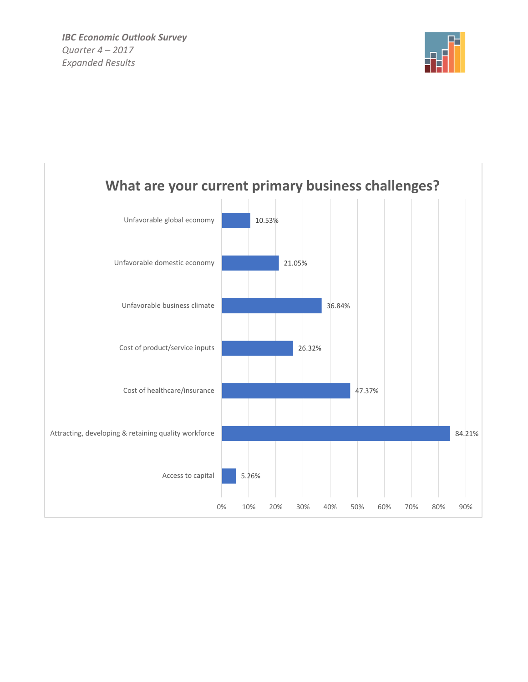

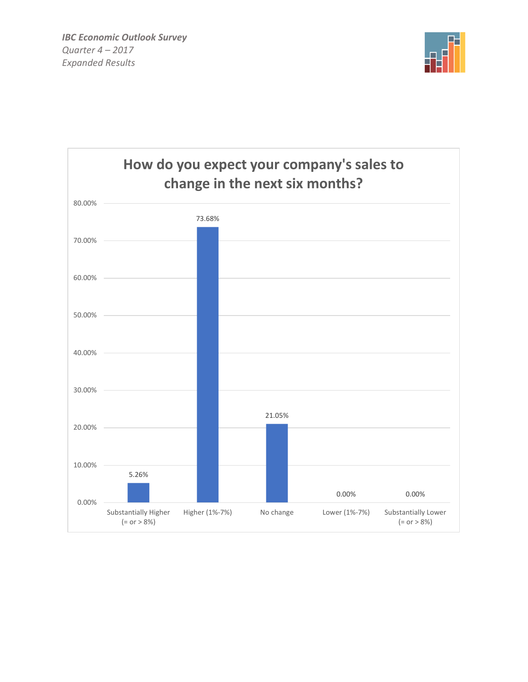

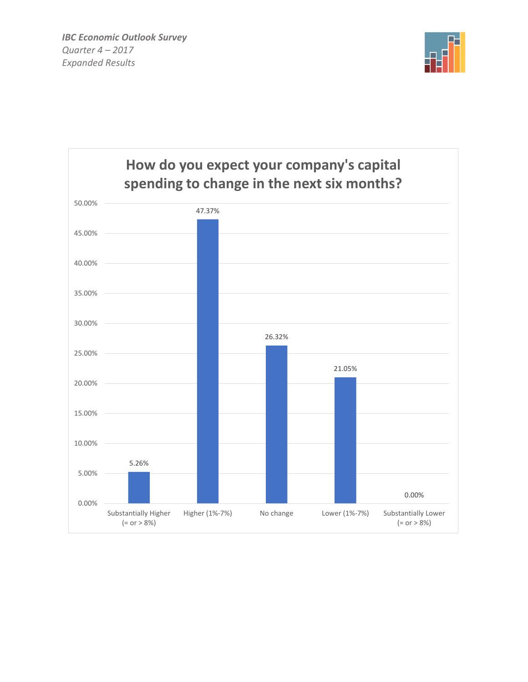*IBC Economic Outlook Survey Quarter 4 – 2017 Expanded Results*